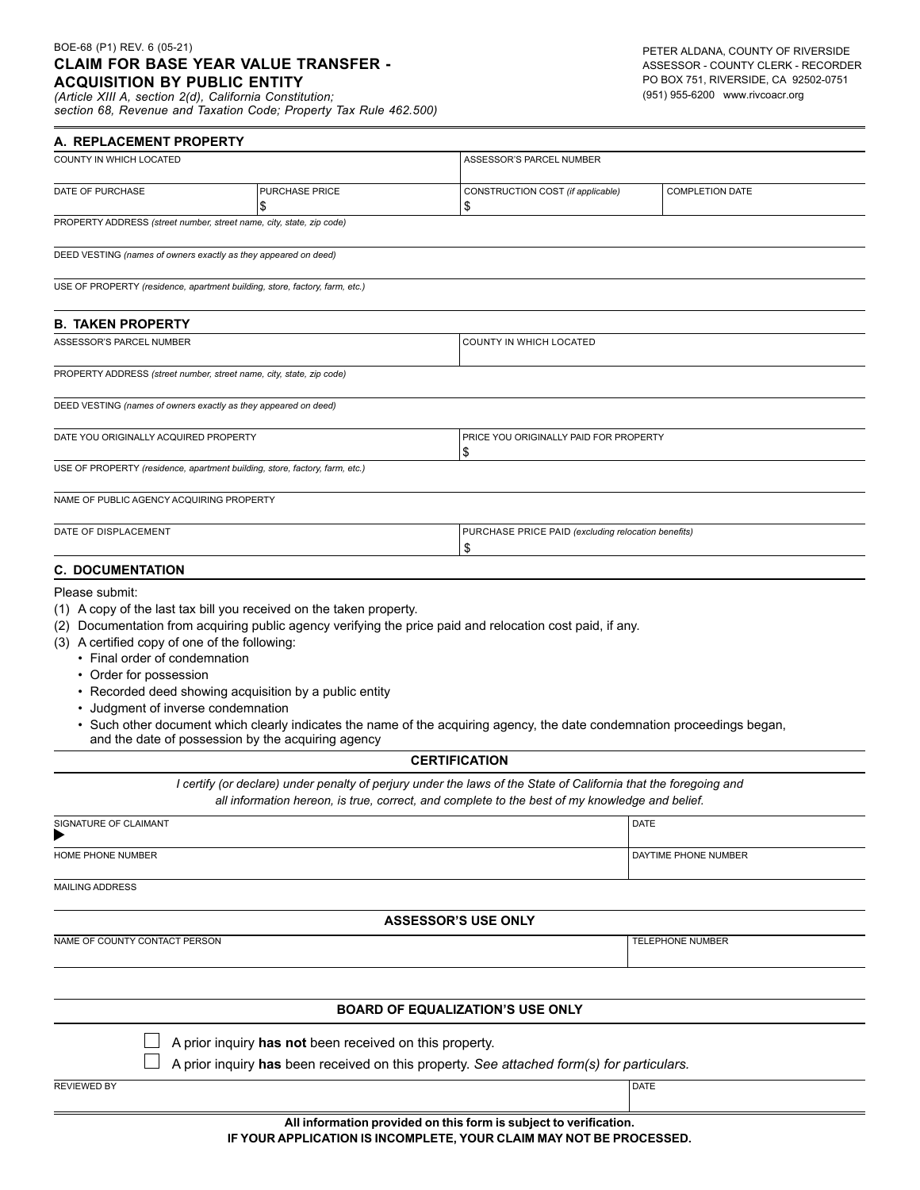## BOE-68 (P1) REV. 6 (05-21) **CLAIM FOR BASE YEAR VALUE TRANSFER - ACQUISITION BY PUBLIC ENTITY**

ASSESSOR - COUNTY CLERK - RECORDER PO BOX 751, RIVERSIDE, CA 92502-0751 (951) 955-6200 www.rivcoacr.org

| $DUE-00$ (Fi) NEV. 0 (00-21)<br><b>ACQUISITION BY PUBLIC ENTITY</b><br>(Article XIII A, section 2(d), California Constitution;                 | <b>CLAIM FOR BASE YEAR VALUE TRANSFER -</b><br>section 68, Revenue and Taxation Code; Property Tax Rule 462.500) |                                                                                                                                                                                                                    | PETER ALDANA, COUNTY OF RIVERSIDE<br>ASSESSOR - COUNTY CLERK - RECORDER<br>PO BOX 751, RIVERSIDE, CA 92502-0751<br>(951) 955-6200 www.rivcoacr.org |  |
|------------------------------------------------------------------------------------------------------------------------------------------------|------------------------------------------------------------------------------------------------------------------|--------------------------------------------------------------------------------------------------------------------------------------------------------------------------------------------------------------------|----------------------------------------------------------------------------------------------------------------------------------------------------|--|
| A. REPLACEMENT PROPERTY                                                                                                                        |                                                                                                                  |                                                                                                                                                                                                                    |                                                                                                                                                    |  |
| COUNTY IN WHICH LOCATED                                                                                                                        |                                                                                                                  | ASSESSOR'S PARCEL NUMBER                                                                                                                                                                                           |                                                                                                                                                    |  |
| DATE OF PURCHASE                                                                                                                               | <b>PURCHASE PRICE</b><br>\$                                                                                      | CONSTRUCTION COST (if applicable)<br>\$                                                                                                                                                                            | <b>COMPLETION DATE</b>                                                                                                                             |  |
| PROPERTY ADDRESS (street number, street name, city, state, zip code)                                                                           |                                                                                                                  |                                                                                                                                                                                                                    |                                                                                                                                                    |  |
| DEED VESTING (names of owners exactly as they appeared on deed)                                                                                |                                                                                                                  |                                                                                                                                                                                                                    |                                                                                                                                                    |  |
| USE OF PROPERTY (residence, apartment building, store, factory, farm, etc.)                                                                    |                                                                                                                  |                                                                                                                                                                                                                    |                                                                                                                                                    |  |
| <b>B. TAKEN PROPERTY</b>                                                                                                                       |                                                                                                                  |                                                                                                                                                                                                                    |                                                                                                                                                    |  |
| ASSESSOR'S PARCEL NUMBER                                                                                                                       |                                                                                                                  | COUNTY IN WHICH LOCATED                                                                                                                                                                                            |                                                                                                                                                    |  |
| PROPERTY ADDRESS (street number, street name, city, state, zip code)                                                                           |                                                                                                                  |                                                                                                                                                                                                                    |                                                                                                                                                    |  |
| DEED VESTING (names of owners exactly as they appeared on deed)                                                                                |                                                                                                                  |                                                                                                                                                                                                                    |                                                                                                                                                    |  |
| DATE YOU ORIGINALLY ACQUIRED PROPERTY                                                                                                          |                                                                                                                  | \$                                                                                                                                                                                                                 | PRICE YOU ORIGINALLY PAID FOR PROPERTY                                                                                                             |  |
| USE OF PROPERTY (residence, apartment building, store, factory, farm, etc.)                                                                    |                                                                                                                  |                                                                                                                                                                                                                    |                                                                                                                                                    |  |
| NAME OF PUBLIC AGENCY ACQUIRING PROPERTY                                                                                                       |                                                                                                                  |                                                                                                                                                                                                                    |                                                                                                                                                    |  |
| DATE OF DISPLACEMENT                                                                                                                           |                                                                                                                  | \$                                                                                                                                                                                                                 | PURCHASE PRICE PAID (excluding relocation benefits)                                                                                                |  |
| <b>C. DOCUMENTATION</b>                                                                                                                        |                                                                                                                  |                                                                                                                                                                                                                    |                                                                                                                                                    |  |
| (3) A certified copy of one of the following:<br>• Final order of condemnation<br>• Order for possession<br>• Judgment of inverse condemnation | • Recorded deed showing acquisition by a public entity<br>and the date of possession by the acquiring agency     | Such other document which clearly indicates the name of the acquiring agency, the date condemnation proceedings began,                                                                                             |                                                                                                                                                    |  |
|                                                                                                                                                |                                                                                                                  | <b>CERTIFICATION</b>                                                                                                                                                                                               |                                                                                                                                                    |  |
|                                                                                                                                                |                                                                                                                  | I certify (or declare) under penalty of perjury under the laws of the State of California that the foregoing and<br>all information hereon, is true, correct, and complete to the best of my knowledge and belief. |                                                                                                                                                    |  |
| SIGNATURE OF CLAIMANT                                                                                                                          |                                                                                                                  |                                                                                                                                                                                                                    | <b>DATE</b>                                                                                                                                        |  |
| HOME PHONE NUMBER                                                                                                                              |                                                                                                                  |                                                                                                                                                                                                                    | DAYTIME PHONE NUMBER                                                                                                                               |  |
| <b>MAILING ADDRESS</b>                                                                                                                         |                                                                                                                  |                                                                                                                                                                                                                    |                                                                                                                                                    |  |
|                                                                                                                                                |                                                                                                                  | <b>ASSESSOR'S USE ONLY</b>                                                                                                                                                                                         |                                                                                                                                                    |  |
| NAME OF COUNTY CONTACT PERSON                                                                                                                  |                                                                                                                  |                                                                                                                                                                                                                    | TELEPHONE NUMBER                                                                                                                                   |  |
|                                                                                                                                                |                                                                                                                  |                                                                                                                                                                                                                    |                                                                                                                                                    |  |
|                                                                                                                                                |                                                                                                                  | <b>BOARD OF EQUALIZATION'S USE ONLY</b>                                                                                                                                                                            |                                                                                                                                                    |  |
|                                                                                                                                                | A prior inquiry has not been received on this property.                                                          |                                                                                                                                                                                                                    |                                                                                                                                                    |  |
|                                                                                                                                                |                                                                                                                  | A prior inquiry has been received on this property. See attached form(s) for particulars.                                                                                                                          |                                                                                                                                                    |  |
| <b>REVIEWED BY</b>                                                                                                                             |                                                                                                                  |                                                                                                                                                                                                                    | DATE                                                                                                                                               |  |
|                                                                                                                                                |                                                                                                                  | All information provided on this form is subject to verification.<br>IF YOUR APPLICATION IS INCOMPLETE, YOUR CLAIM MAY NOT BE PROCESSED.                                                                           |                                                                                                                                                    |  |